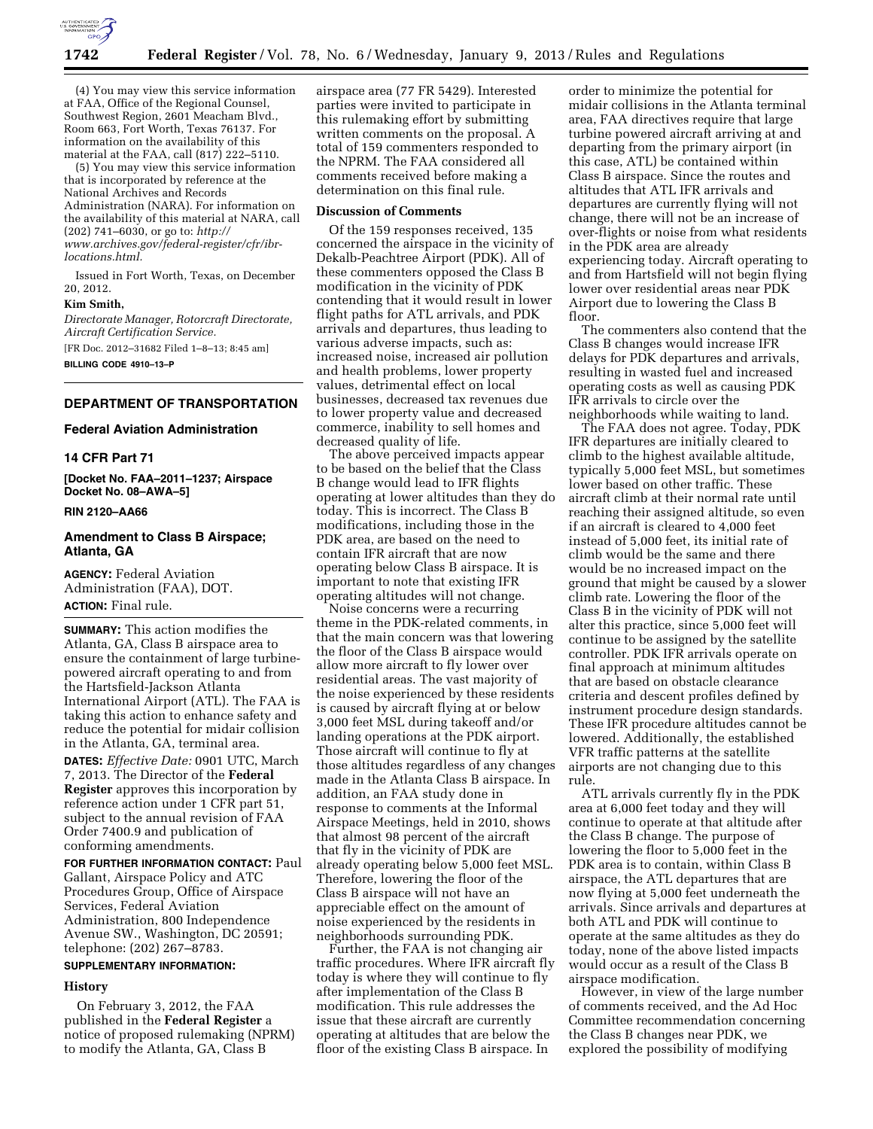

(4) You may view this service information at FAA, Office of the Regional Counsel, Southwest Region, 2601 Meacham Blvd., Room 663, Fort Worth, Texas 76137. For information on the availability of this material at the FAA, call (817) 222–5110.

(5) You may view this service information that is incorporated by reference at the National Archives and Records Administration (NARA). For information on the availability of this material at NARA, call (202) 741–6030, or go to: *[http://](http://www.archives.gov/federal-register/cfr/ibr-locations.html) [www.archives.gov/federal-register/cfr/ibr](http://www.archives.gov/federal-register/cfr/ibr-locations.html)[locations.html.](http://www.archives.gov/federal-register/cfr/ibr-locations.html)* 

Issued in Fort Worth, Texas, on December 20, 2012.

## **Kim Smith,**

*Directorate Manager, Rotorcraft Directorate, Aircraft Certification Service.* 

[FR Doc. 2012–31682 Filed 1–8–13; 8:45 am]

**BILLING CODE 4910–13–P** 

# **DEPARTMENT OF TRANSPORTATION**

# **Federal Aviation Administration**

#### **14 CFR Part 71**

**[Docket No. FAA–2011–1237; Airspace Docket No. 08–AWA–5]** 

## **RIN 2120–AA66**

# **Amendment to Class B Airspace; Atlanta, GA**

**AGENCY:** Federal Aviation Administration (FAA), DOT. **ACTION:** Final rule.

**SUMMARY:** This action modifies the Atlanta, GA, Class B airspace area to ensure the containment of large turbinepowered aircraft operating to and from the Hartsfield-Jackson Atlanta International Airport (ATL). The FAA is taking this action to enhance safety and reduce the potential for midair collision in the Atlanta, GA, terminal area. **DATES:** *Effective Date:* 0901 UTC, March 7, 2013. The Director of the **Federal Register** approves this incorporation by reference action under 1 CFR part 51, subject to the annual revision of FAA Order 7400.9 and publication of conforming amendments.

**FOR FURTHER INFORMATION CONTACT:** Paul Gallant, Airspace Policy and ATC Procedures Group, Office of Airspace Services, Federal Aviation Administration, 800 Independence Avenue SW., Washington, DC 20591; telephone: (202) 267–8783.

## **SUPPLEMENTARY INFORMATION:**

# **History**

On February 3, 2012, the FAA published in the **Federal Register** a notice of proposed rulemaking (NPRM) to modify the Atlanta, GA, Class B

airspace area (77 FR 5429). Interested parties were invited to participate in this rulemaking effort by submitting written comments on the proposal. A total of 159 commenters responded to the NPRM. The FAA considered all comments received before making a determination on this final rule.

#### **Discussion of Comments**

Of the 159 responses received, 135 concerned the airspace in the vicinity of Dekalb-Peachtree Airport (PDK). All of these commenters opposed the Class B modification in the vicinity of PDK contending that it would result in lower flight paths for ATL arrivals, and PDK arrivals and departures, thus leading to various adverse impacts, such as: increased noise, increased air pollution and health problems, lower property values, detrimental effect on local businesses, decreased tax revenues due to lower property value and decreased commerce, inability to sell homes and decreased quality of life.

The above perceived impacts appear to be based on the belief that the Class B change would lead to IFR flights operating at lower altitudes than they do today. This is incorrect. The Class B modifications, including those in the PDK area, are based on the need to contain IFR aircraft that are now operating below Class B airspace. It is important to note that existing IFR operating altitudes will not change.

Noise concerns were a recurring theme in the PDK-related comments, in that the main concern was that lowering the floor of the Class B airspace would allow more aircraft to fly lower over residential areas. The vast majority of the noise experienced by these residents is caused by aircraft flying at or below 3,000 feet MSL during takeoff and/or landing operations at the PDK airport. Those aircraft will continue to fly at those altitudes regardless of any changes made in the Atlanta Class B airspace. In addition, an FAA study done in response to comments at the Informal Airspace Meetings, held in 2010, shows that almost 98 percent of the aircraft that fly in the vicinity of PDK are already operating below 5,000 feet MSL. Therefore, lowering the floor of the Class B airspace will not have an appreciable effect on the amount of noise experienced by the residents in neighborhoods surrounding PDK.

Further, the FAA is not changing air traffic procedures. Where IFR aircraft fly today is where they will continue to fly after implementation of the Class B modification. This rule addresses the issue that these aircraft are currently operating at altitudes that are below the floor of the existing Class B airspace. In

order to minimize the potential for midair collisions in the Atlanta terminal area, FAA directives require that large turbine powered aircraft arriving at and departing from the primary airport (in this case, ATL) be contained within Class B airspace. Since the routes and altitudes that ATL IFR arrivals and departures are currently flying will not change, there will not be an increase of over-flights or noise from what residents in the PDK area are already experiencing today. Aircraft operating to and from Hartsfield will not begin flying lower over residential areas near PDK Airport due to lowering the Class B floor.

The commenters also contend that the Class B changes would increase IFR delays for PDK departures and arrivals, resulting in wasted fuel and increased operating costs as well as causing PDK IFR arrivals to circle over the neighborhoods while waiting to land.

The FAA does not agree. Today, PDK IFR departures are initially cleared to climb to the highest available altitude, typically 5,000 feet MSL, but sometimes lower based on other traffic. These aircraft climb at their normal rate until reaching their assigned altitude, so even if an aircraft is cleared to 4,000 feet instead of 5,000 feet, its initial rate of climb would be the same and there would be no increased impact on the ground that might be caused by a slower climb rate. Lowering the floor of the Class B in the vicinity of PDK will not alter this practice, since 5,000 feet will continue to be assigned by the satellite controller. PDK IFR arrivals operate on final approach at minimum altitudes that are based on obstacle clearance criteria and descent profiles defined by instrument procedure design standards. These IFR procedure altitudes cannot be lowered. Additionally, the established VFR traffic patterns at the satellite airports are not changing due to this rule.

ATL arrivals currently fly in the PDK area at 6,000 feet today and they will continue to operate at that altitude after the Class B change. The purpose of lowering the floor to 5,000 feet in the PDK area is to contain, within Class B airspace, the ATL departures that are now flying at 5,000 feet underneath the arrivals. Since arrivals and departures at both ATL and PDK will continue to operate at the same altitudes as they do today, none of the above listed impacts would occur as a result of the Class B airspace modification.

However, in view of the large number of comments received, and the Ad Hoc Committee recommendation concerning the Class B changes near PDK, we explored the possibility of modifying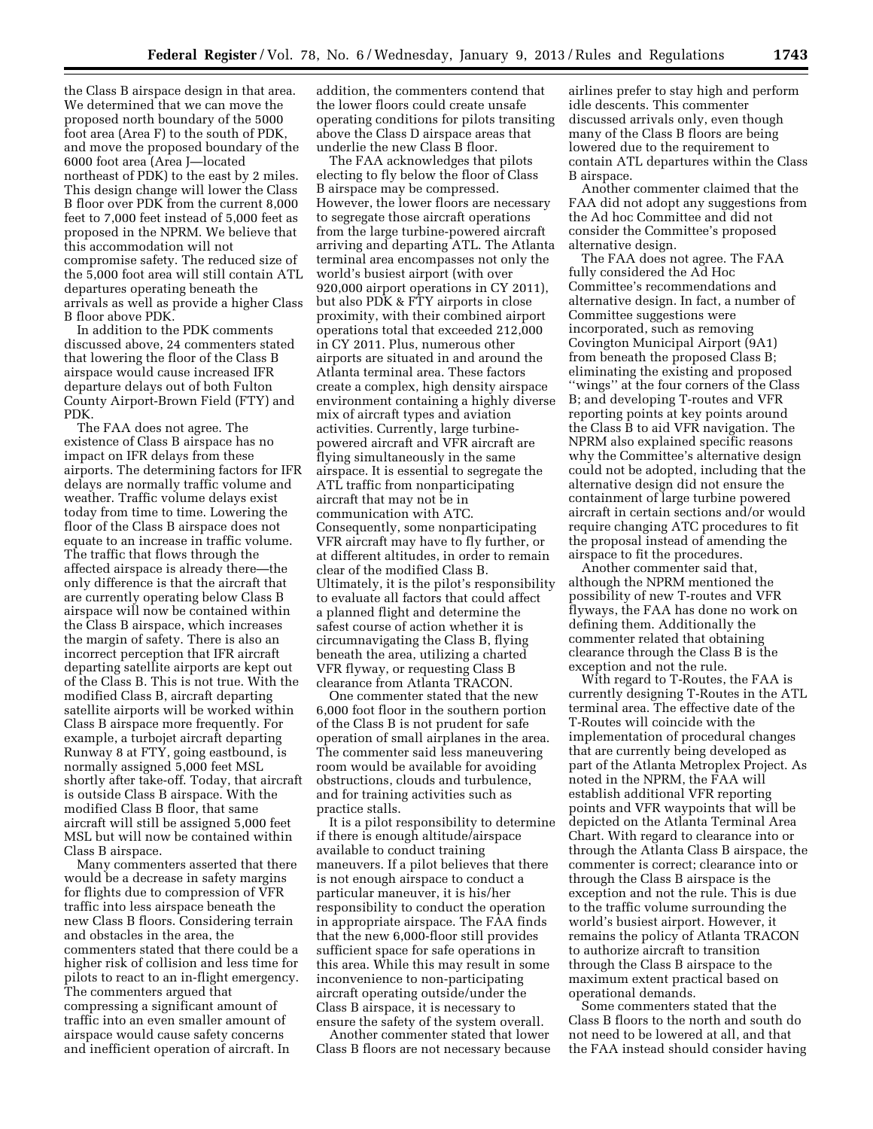the Class B airspace design in that area. We determined that we can move the proposed north boundary of the 5000 foot area (Area F) to the south of PDK, and move the proposed boundary of the 6000 foot area (Area J—located northeast of PDK) to the east by 2 miles. This design change will lower the Class B floor over PDK from the current 8,000 feet to 7,000 feet instead of 5,000 feet as proposed in the NPRM. We believe that this accommodation will not compromise safety. The reduced size of the 5,000 foot area will still contain ATL departures operating beneath the arrivals as well as provide a higher Class B floor above PDK.

In addition to the PDK comments discussed above, 24 commenters stated that lowering the floor of the Class B airspace would cause increased IFR departure delays out of both Fulton County Airport-Brown Field (FTY) and PDK.

The FAA does not agree. The existence of Class B airspace has no impact on IFR delays from these airports. The determining factors for IFR delays are normally traffic volume and weather. Traffic volume delays exist today from time to time. Lowering the floor of the Class B airspace does not equate to an increase in traffic volume. The traffic that flows through the affected airspace is already there—the only difference is that the aircraft that are currently operating below Class B airspace will now be contained within the Class B airspace, which increases the margin of safety. There is also an incorrect perception that IFR aircraft departing satellite airports are kept out of the Class B. This is not true. With the modified Class B, aircraft departing satellite airports will be worked within Class B airspace more frequently. For example, a turbojet aircraft departing Runway 8 at FTY, going eastbound, is normally assigned 5,000 feet MSL shortly after take-off. Today, that aircraft is outside Class B airspace. With the modified Class B floor, that same aircraft will still be assigned 5,000 feet MSL but will now be contained within Class B airspace.

Many commenters asserted that there would be a decrease in safety margins for flights due to compression of VFR traffic into less airspace beneath the new Class B floors. Considering terrain and obstacles in the area, the commenters stated that there could be a higher risk of collision and less time for pilots to react to an in-flight emergency. The commenters argued that compressing a significant amount of traffic into an even smaller amount of airspace would cause safety concerns and inefficient operation of aircraft. In

addition, the commenters contend that the lower floors could create unsafe operating conditions for pilots transiting above the Class D airspace areas that underlie the new Class B floor.

The FAA acknowledges that pilots electing to fly below the floor of Class B airspace may be compressed. However, the lower floors are necessary to segregate those aircraft operations from the large turbine-powered aircraft arriving and departing ATL. The Atlanta terminal area encompasses not only the world's busiest airport (with over 920,000 airport operations in CY 2011), but also PDK & FTY airports in close proximity, with their combined airport operations total that exceeded 212,000 in CY 2011. Plus, numerous other airports are situated in and around the Atlanta terminal area. These factors create a complex, high density airspace environment containing a highly diverse mix of aircraft types and aviation activities. Currently, large turbinepowered aircraft and VFR aircraft are flying simultaneously in the same airspace. It is essential to segregate the ATL traffic from nonparticipating aircraft that may not be in communication with ATC. Consequently, some nonparticipating VFR aircraft may have to fly further, or at different altitudes, in order to remain clear of the modified Class B. Ultimately, it is the pilot's responsibility to evaluate all factors that could affect a planned flight and determine the safest course of action whether it is circumnavigating the Class B, flying beneath the area, utilizing a charted VFR flyway, or requesting Class B clearance from Atlanta TRACON.

One commenter stated that the new 6,000 foot floor in the southern portion of the Class B is not prudent for safe operation of small airplanes in the area. The commenter said less maneuvering room would be available for avoiding obstructions, clouds and turbulence, and for training activities such as practice stalls.

It is a pilot responsibility to determine if there is enough altitude/airspace available to conduct training maneuvers. If a pilot believes that there is not enough airspace to conduct a particular maneuver, it is his/her responsibility to conduct the operation in appropriate airspace. The FAA finds that the new 6,000-floor still provides sufficient space for safe operations in this area. While this may result in some inconvenience to non-participating aircraft operating outside/under the Class B airspace, it is necessary to ensure the safety of the system overall.

Another commenter stated that lower Class B floors are not necessary because airlines prefer to stay high and perform idle descents. This commenter discussed arrivals only, even though many of the Class B floors are being lowered due to the requirement to contain ATL departures within the Class B airspace.

Another commenter claimed that the FAA did not adopt any suggestions from the Ad hoc Committee and did not consider the Committee's proposed alternative design.

The FAA does not agree. The FAA fully considered the Ad Hoc Committee's recommendations and alternative design. In fact, a number of Committee suggestions were incorporated, such as removing Covington Municipal Airport (9A1) from beneath the proposed Class B; eliminating the existing and proposed ''wings'' at the four corners of the Class B; and developing T-routes and VFR reporting points at key points around the Class B to aid VFR navigation. The NPRM also explained specific reasons why the Committee's alternative design could not be adopted, including that the alternative design did not ensure the containment of large turbine powered aircraft in certain sections and/or would require changing ATC procedures to fit the proposal instead of amending the airspace to fit the procedures.

Another commenter said that, although the NPRM mentioned the possibility of new T-routes and VFR flyways, the FAA has done no work on defining them. Additionally the commenter related that obtaining clearance through the Class B is the exception and not the rule.

With regard to T-Routes, the FAA is currently designing T-Routes in the ATL terminal area. The effective date of the T-Routes will coincide with the implementation of procedural changes that are currently being developed as part of the Atlanta Metroplex Project. As noted in the NPRM, the FAA will establish additional VFR reporting points and VFR waypoints that will be depicted on the Atlanta Terminal Area Chart. With regard to clearance into or through the Atlanta Class B airspace, the commenter is correct; clearance into or through the Class B airspace is the exception and not the rule. This is due to the traffic volume surrounding the world's busiest airport. However, it remains the policy of Atlanta TRACON to authorize aircraft to transition through the Class B airspace to the maximum extent practical based on operational demands.

Some commenters stated that the Class B floors to the north and south do not need to be lowered at all, and that the FAA instead should consider having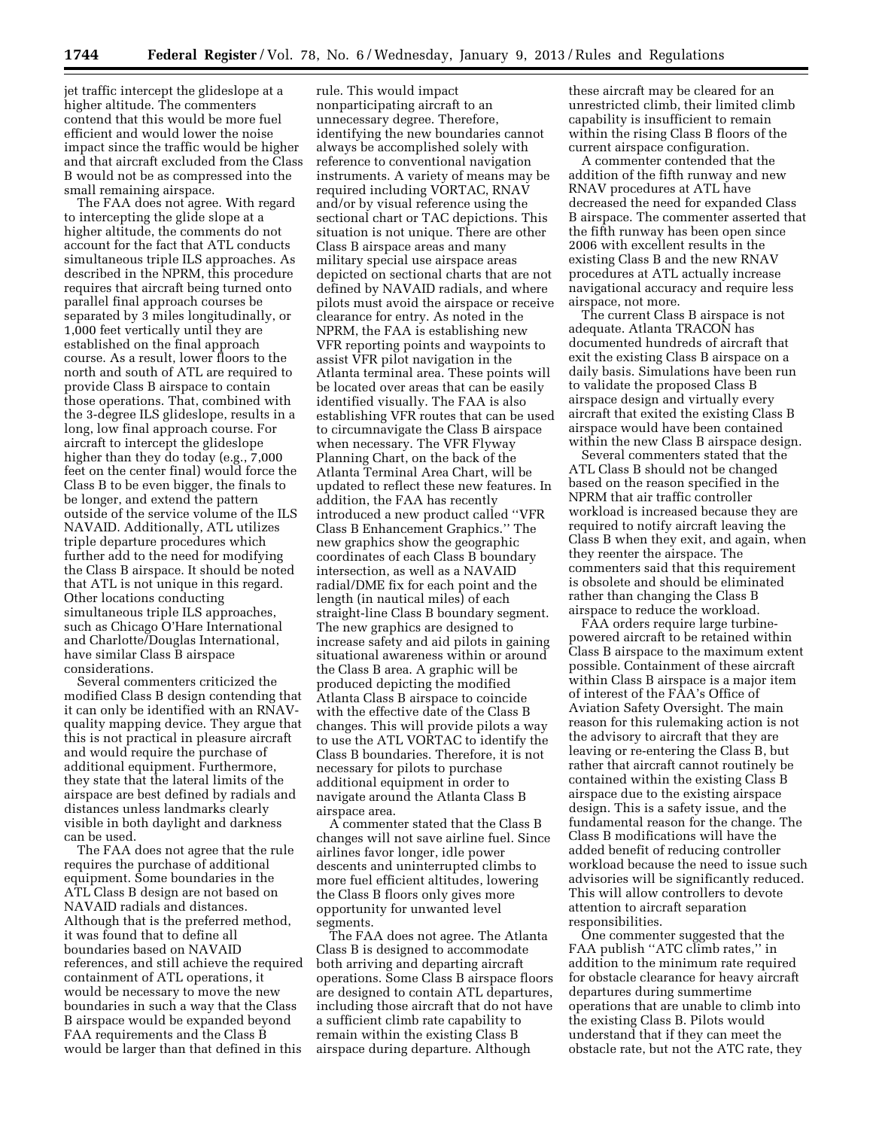jet traffic intercept the glideslope at a higher altitude. The commenters contend that this would be more fuel efficient and would lower the noise impact since the traffic would be higher and that aircraft excluded from the Class B would not be as compressed into the small remaining airspace.

The FAA does not agree. With regard to intercepting the glide slope at a higher altitude, the comments do not account for the fact that ATL conducts simultaneous triple ILS approaches. As described in the NPRM, this procedure requires that aircraft being turned onto parallel final approach courses be separated by 3 miles longitudinally, or 1,000 feet vertically until they are established on the final approach course. As a result, lower floors to the north and south of ATL are required to provide Class B airspace to contain those operations. That, combined with the 3-degree ILS glideslope, results in a long, low final approach course. For aircraft to intercept the glideslope higher than they do today (e.g., 7,000 feet on the center final) would force the Class B to be even bigger, the finals to be longer, and extend the pattern outside of the service volume of the ILS NAVAID. Additionally, ATL utilizes triple departure procedures which further add to the need for modifying the Class B airspace. It should be noted that ATL is not unique in this regard. Other locations conducting simultaneous triple ILS approaches, such as Chicago O'Hare International and Charlotte/Douglas International, have similar Class B airspace considerations.

Several commenters criticized the modified Class B design contending that it can only be identified with an RNAVquality mapping device. They argue that this is not practical in pleasure aircraft and would require the purchase of additional equipment. Furthermore, they state that the lateral limits of the airspace are best defined by radials and distances unless landmarks clearly visible in both daylight and darkness can be used.

The FAA does not agree that the rule requires the purchase of additional equipment. Some boundaries in the ATL Class B design are not based on NAVAID radials and distances. Although that is the preferred method, it was found that to define all boundaries based on NAVAID references, and still achieve the required containment of ATL operations, it would be necessary to move the new boundaries in such a way that the Class B airspace would be expanded beyond FAA requirements and the Class B would be larger than that defined in this

rule. This would impact nonparticipating aircraft to an unnecessary degree. Therefore, identifying the new boundaries cannot always be accomplished solely with reference to conventional navigation instruments. A variety of means may be required including VORTAC, RNAV and/or by visual reference using the sectional chart or TAC depictions. This situation is not unique. There are other Class B airspace areas and many military special use airspace areas depicted on sectional charts that are not defined by NAVAID radials, and where pilots must avoid the airspace or receive clearance for entry. As noted in the NPRM, the FAA is establishing new VFR reporting points and waypoints to assist VFR pilot navigation in the Atlanta terminal area. These points will be located over areas that can be easily identified visually. The FAA is also establishing VFR routes that can be used to circumnavigate the Class B airspace when necessary. The VFR Flyway Planning Chart, on the back of the Atlanta Terminal Area Chart, will be updated to reflect these new features. In addition, the FAA has recently introduced a new product called ''VFR Class B Enhancement Graphics.'' The new graphics show the geographic coordinates of each Class B boundary intersection, as well as a NAVAID radial/DME fix for each point and the length (in nautical miles) of each straight-line Class B boundary segment. The new graphics are designed to increase safety and aid pilots in gaining situational awareness within or around the Class B area. A graphic will be produced depicting the modified Atlanta Class B airspace to coincide with the effective date of the Class B changes. This will provide pilots a way to use the ATL VORTAC to identify the Class B boundaries. Therefore, it is not necessary for pilots to purchase additional equipment in order to navigate around the Atlanta Class B airspace area.

A commenter stated that the Class B changes will not save airline fuel. Since airlines favor longer, idle power descents and uninterrupted climbs to more fuel efficient altitudes, lowering the Class B floors only gives more opportunity for unwanted level segments.

The FAA does not agree. The Atlanta Class B is designed to accommodate both arriving and departing aircraft operations. Some Class B airspace floors are designed to contain ATL departures, including those aircraft that do not have a sufficient climb rate capability to remain within the existing Class B airspace during departure. Although

these aircraft may be cleared for an unrestricted climb, their limited climb capability is insufficient to remain within the rising Class B floors of the current airspace configuration.

A commenter contended that the addition of the fifth runway and new RNAV procedures at ATL have decreased the need for expanded Class B airspace. The commenter asserted that the fifth runway has been open since 2006 with excellent results in the existing Class B and the new RNAV procedures at ATL actually increase navigational accuracy and require less airspace, not more.

The current Class B airspace is not adequate. Atlanta TRACON has documented hundreds of aircraft that exit the existing Class B airspace on a daily basis. Simulations have been run to validate the proposed Class B airspace design and virtually every aircraft that exited the existing Class B airspace would have been contained within the new Class B airspace design.

Several commenters stated that the ATL Class B should not be changed based on the reason specified in the NPRM that air traffic controller workload is increased because they are required to notify aircraft leaving the Class B when they exit, and again, when they reenter the airspace. The commenters said that this requirement is obsolete and should be eliminated rather than changing the Class B airspace to reduce the workload.

FAA orders require large turbinepowered aircraft to be retained within Class B airspace to the maximum extent possible. Containment of these aircraft within Class B airspace is a major item of interest of the FAA's Office of Aviation Safety Oversight. The main reason for this rulemaking action is not the advisory to aircraft that they are leaving or re-entering the Class B, but rather that aircraft cannot routinely be contained within the existing Class B airspace due to the existing airspace design. This is a safety issue, and the fundamental reason for the change. The Class B modifications will have the added benefit of reducing controller workload because the need to issue such advisories will be significantly reduced. This will allow controllers to devote attention to aircraft separation responsibilities.

One commenter suggested that the FAA publish "ATC climb rates," in addition to the minimum rate required for obstacle clearance for heavy aircraft departures during summertime operations that are unable to climb into the existing Class B. Pilots would understand that if they can meet the obstacle rate, but not the ATC rate, they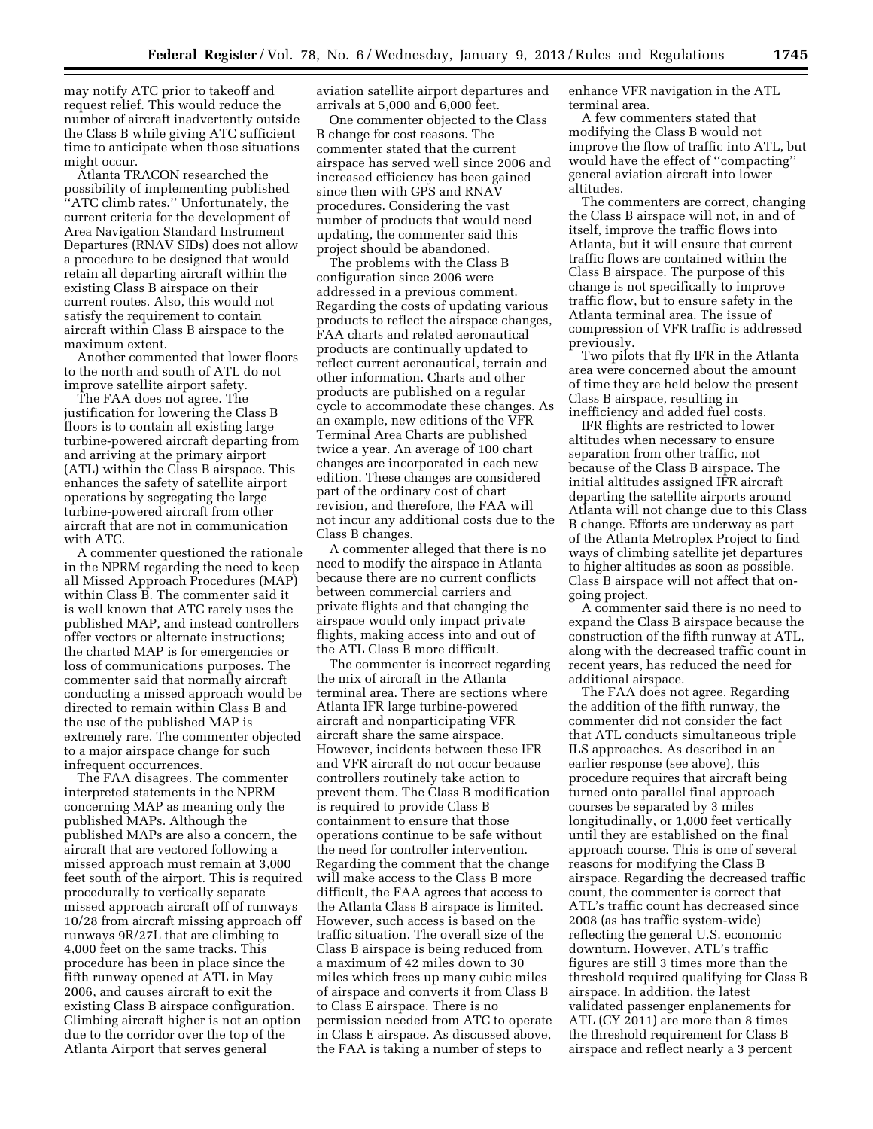may notify ATC prior to takeoff and request relief. This would reduce the number of aircraft inadvertently outside the Class B while giving ATC sufficient time to anticipate when those situations might occur.

Atlanta TRACON researched the possibility of implementing published ''ATC climb rates.'' Unfortunately, the current criteria for the development of Area Navigation Standard Instrument Departures (RNAV SIDs) does not allow a procedure to be designed that would retain all departing aircraft within the existing Class B airspace on their current routes. Also, this would not satisfy the requirement to contain aircraft within Class B airspace to the maximum extent.

Another commented that lower floors to the north and south of ATL do not improve satellite airport safety.

The FAA does not agree. The justification for lowering the Class B floors is to contain all existing large turbine-powered aircraft departing from and arriving at the primary airport (ATL) within the Class B airspace. This enhances the safety of satellite airport operations by segregating the large turbine-powered aircraft from other aircraft that are not in communication with ATC.

A commenter questioned the rationale in the NPRM regarding the need to keep all Missed Approach Procedures (MAP) within Class B. The commenter said it is well known that ATC rarely uses the published MAP, and instead controllers offer vectors or alternate instructions; the charted MAP is for emergencies or loss of communications purposes. The commenter said that normally aircraft conducting a missed approach would be directed to remain within Class B and the use of the published MAP is extremely rare. The commenter objected to a major airspace change for such infrequent occurrences.

The FAA disagrees. The commenter interpreted statements in the NPRM concerning MAP as meaning only the published MAPs. Although the published MAPs are also a concern, the aircraft that are vectored following a missed approach must remain at 3,000 feet south of the airport. This is required procedurally to vertically separate missed approach aircraft off of runways 10/28 from aircraft missing approach off runways 9R/27L that are climbing to 4,000 feet on the same tracks. This procedure has been in place since the fifth runway opened at ATL in May 2006, and causes aircraft to exit the existing Class B airspace configuration. Climbing aircraft higher is not an option due to the corridor over the top of the Atlanta Airport that serves general

aviation satellite airport departures and arrivals at 5,000 and 6,000 feet.

One commenter objected to the Class B change for cost reasons. The commenter stated that the current airspace has served well since 2006 and increased efficiency has been gained since then with GPS and RNAV procedures. Considering the vast number of products that would need updating, the commenter said this project should be abandoned.

The problems with the Class B configuration since 2006 were addressed in a previous comment. Regarding the costs of updating various products to reflect the airspace changes, FAA charts and related aeronautical products are continually updated to reflect current aeronautical, terrain and other information. Charts and other products are published on a regular cycle to accommodate these changes. As an example, new editions of the VFR Terminal Area Charts are published twice a year. An average of 100 chart changes are incorporated in each new edition. These changes are considered part of the ordinary cost of chart revision, and therefore, the FAA will not incur any additional costs due to the Class B changes.

A commenter alleged that there is no need to modify the airspace in Atlanta because there are no current conflicts between commercial carriers and private flights and that changing the airspace would only impact private flights, making access into and out of the ATL Class B more difficult.

The commenter is incorrect regarding the mix of aircraft in the Atlanta terminal area. There are sections where Atlanta IFR large turbine-powered aircraft and nonparticipating VFR aircraft share the same airspace. However, incidents between these IFR and VFR aircraft do not occur because controllers routinely take action to prevent them. The Class B modification is required to provide Class B containment to ensure that those operations continue to be safe without the need for controller intervention. Regarding the comment that the change will make access to the Class B more difficult, the FAA agrees that access to the Atlanta Class B airspace is limited. However, such access is based on the traffic situation. The overall size of the Class B airspace is being reduced from a maximum of 42 miles down to 30 miles which frees up many cubic miles of airspace and converts it from Class B to Class E airspace. There is no permission needed from ATC to operate in Class E airspace. As discussed above, the FAA is taking a number of steps to

enhance VFR navigation in the ATL terminal area.

A few commenters stated that modifying the Class B would not improve the flow of traffic into ATL, but would have the effect of ''compacting'' general aviation aircraft into lower altitudes.

The commenters are correct, changing the Class B airspace will not, in and of itself, improve the traffic flows into Atlanta, but it will ensure that current traffic flows are contained within the Class B airspace. The purpose of this change is not specifically to improve traffic flow, but to ensure safety in the Atlanta terminal area. The issue of compression of VFR traffic is addressed previously.

Two pilots that fly IFR in the Atlanta area were concerned about the amount of time they are held below the present Class B airspace, resulting in inefficiency and added fuel costs.

IFR flights are restricted to lower altitudes when necessary to ensure separation from other traffic, not because of the Class B airspace. The initial altitudes assigned IFR aircraft departing the satellite airports around Atlanta will not change due to this Class B change. Efforts are underway as part of the Atlanta Metroplex Project to find ways of climbing satellite jet departures to higher altitudes as soon as possible. Class B airspace will not affect that ongoing project.

A commenter said there is no need to expand the Class B airspace because the construction of the fifth runway at ATL, along with the decreased traffic count in recent years, has reduced the need for additional airspace.

The FAA does not agree. Regarding the addition of the fifth runway, the commenter did not consider the fact that ATL conducts simultaneous triple ILS approaches. As described in an earlier response (see above), this procedure requires that aircraft being turned onto parallel final approach courses be separated by 3 miles longitudinally, or 1,000 feet vertically until they are established on the final approach course. This is one of several reasons for modifying the Class B airspace. Regarding the decreased traffic count, the commenter is correct that ATL's traffic count has decreased since 2008 (as has traffic system-wide) reflecting the general U.S. economic downturn. However, ATL's traffic figures are still 3 times more than the threshold required qualifying for Class B airspace. In addition, the latest validated passenger enplanements for ATL (CY 2011) are more than 8 times the threshold requirement for Class B airspace and reflect nearly a 3 percent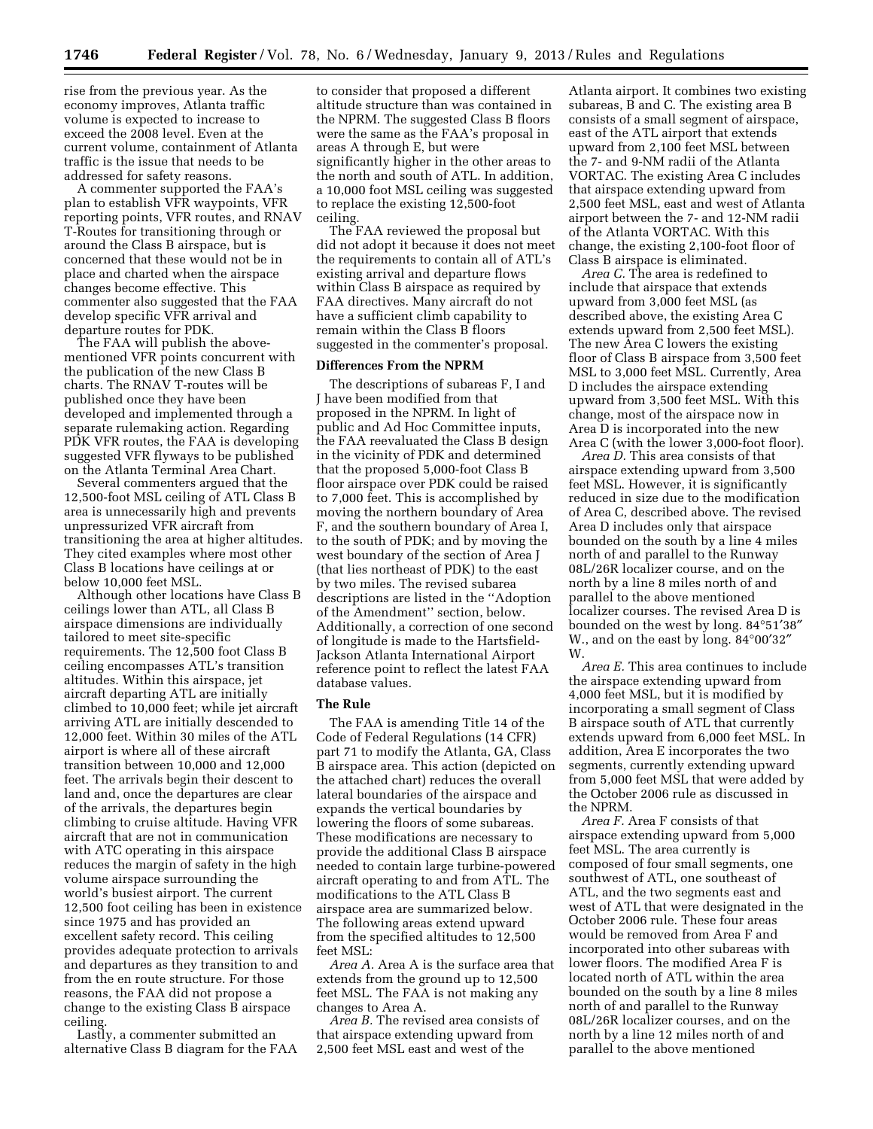rise from the previous year. As the economy improves, Atlanta traffic volume is expected to increase to exceed the 2008 level. Even at the current volume, containment of Atlanta traffic is the issue that needs to be addressed for safety reasons.

A commenter supported the FAA's plan to establish VFR waypoints, VFR reporting points, VFR routes, and RNAV T-Routes for transitioning through or around the Class B airspace, but is concerned that these would not be in place and charted when the airspace changes become effective. This commenter also suggested that the FAA develop specific VFR arrival and departure routes for PDK.

The FAA will publish the abovementioned VFR points concurrent with the publication of the new Class B charts. The RNAV T-routes will be published once they have been developed and implemented through a separate rulemaking action. Regarding PDK VFR routes, the FAA is developing suggested VFR flyways to be published on the Atlanta Terminal Area Chart.

Several commenters argued that the 12,500-foot MSL ceiling of ATL Class B area is unnecessarily high and prevents unpressurized VFR aircraft from transitioning the area at higher altitudes. They cited examples where most other Class B locations have ceilings at or below 10,000 feet MSL.

Although other locations have Class B ceilings lower than ATL, all Class B airspace dimensions are individually tailored to meet site-specific requirements. The 12,500 foot Class B ceiling encompasses ATL's transition altitudes. Within this airspace, jet aircraft departing ATL are initially climbed to 10,000 feet; while jet aircraft arriving ATL are initially descended to 12,000 feet. Within 30 miles of the ATL airport is where all of these aircraft transition between 10,000 and 12,000 feet. The arrivals begin their descent to land and, once the departures are clear of the arrivals, the departures begin climbing to cruise altitude. Having VFR aircraft that are not in communication with ATC operating in this airspace reduces the margin of safety in the high volume airspace surrounding the world's busiest airport. The current 12,500 foot ceiling has been in existence since 1975 and has provided an excellent safety record. This ceiling provides adequate protection to arrivals and departures as they transition to and from the en route structure. For those reasons, the FAA did not propose a change to the existing Class B airspace ceiling.

Lastly, a commenter submitted an alternative Class B diagram for the FAA

to consider that proposed a different altitude structure than was contained in the NPRM. The suggested Class B floors were the same as the FAA's proposal in areas A through E, but were significantly higher in the other areas to the north and south of ATL. In addition, a 10,000 foot MSL ceiling was suggested to replace the existing 12,500-foot ceiling.

The FAA reviewed the proposal but did not adopt it because it does not meet the requirements to contain all of ATL's existing arrival and departure flows within Class B airspace as required by FAA directives. Many aircraft do not have a sufficient climb capability to remain within the Class B floors suggested in the commenter's proposal.

## **Differences From the NPRM**

The descriptions of subareas F, I and J have been modified from that proposed in the NPRM. In light of public and Ad Hoc Committee inputs, the FAA reevaluated the Class B design in the vicinity of PDK and determined that the proposed 5,000-foot Class B floor airspace over PDK could be raised to 7,000 feet. This is accomplished by moving the northern boundary of Area F, and the southern boundary of Area I, to the south of PDK; and by moving the west boundary of the section of Area J (that lies northeast of PDK) to the east by two miles. The revised subarea descriptions are listed in the ''Adoption of the Amendment'' section, below. Additionally, a correction of one second of longitude is made to the Hartsfield-Jackson Atlanta International Airport reference point to reflect the latest FAA database values.

# **The Rule**

The FAA is amending Title 14 of the Code of Federal Regulations (14 CFR) part 71 to modify the Atlanta, GA, Class B airspace area. This action (depicted on the attached chart) reduces the overall lateral boundaries of the airspace and expands the vertical boundaries by lowering the floors of some subareas. These modifications are necessary to provide the additional Class B airspace needed to contain large turbine-powered aircraft operating to and from ATL. The modifications to the ATL Class B airspace area are summarized below. The following areas extend upward from the specified altitudes to 12,500 feet MSL:

*Area A.* Area A is the surface area that extends from the ground up to 12,500 feet MSL. The FAA is not making any changes to Area A.

*Area B.* The revised area consists of that airspace extending upward from 2,500 feet MSL east and west of the

Atlanta airport. It combines two existing subareas, B and C. The existing area B consists of a small segment of airspace, east of the ATL airport that extends upward from 2,100 feet MSL between the 7- and 9-NM radii of the Atlanta VORTAC. The existing Area C includes that airspace extending upward from 2,500 feet MSL, east and west of Atlanta airport between the 7- and 12-NM radii of the Atlanta VORTAC. With this change, the existing 2,100-foot floor of Class B airspace is eliminated.

*Area C.* The area is redefined to include that airspace that extends upward from 3,000 feet MSL (as described above, the existing Area C extends upward from 2,500 feet MSL). The new Area C lowers the existing floor of Class B airspace from 3,500 feet MSL to 3,000 feet MSL. Currently, Area D includes the airspace extending upward from 3,500 feet MSL. With this change, most of the airspace now in Area D is incorporated into the new Area C (with the lower 3,000-foot floor).

*Area D.* This area consists of that airspace extending upward from 3,500 feet MSL. However, it is significantly reduced in size due to the modification of Area C, described above. The revised Area D includes only that airspace bounded on the south by a line 4 miles north of and parallel to the Runway 08L/26R localizer course, and on the north by a line 8 miles north of and parallel to the above mentioned localizer courses. The revised Area D is bounded on the west by long. 84°51′38″ W., and on the east by long. 84°00′32″ W.

*Area E.* This area continues to include the airspace extending upward from 4,000 feet MSL, but it is modified by incorporating a small segment of Class B airspace south of ATL that currently extends upward from 6,000 feet MSL. In addition, Area E incorporates the two segments, currently extending upward from 5,000 feet MSL that were added by the October 2006 rule as discussed in the NPRM.

*Area F.* Area F consists of that airspace extending upward from 5,000 feet MSL. The area currently is composed of four small segments, one southwest of ATL, one southeast of ATL, and the two segments east and west of ATL that were designated in the October 2006 rule. These four areas would be removed from Area F and incorporated into other subareas with lower floors. The modified Area F is located north of ATL within the area bounded on the south by a line 8 miles north of and parallel to the Runway 08L/26R localizer courses, and on the north by a line 12 miles north of and parallel to the above mentioned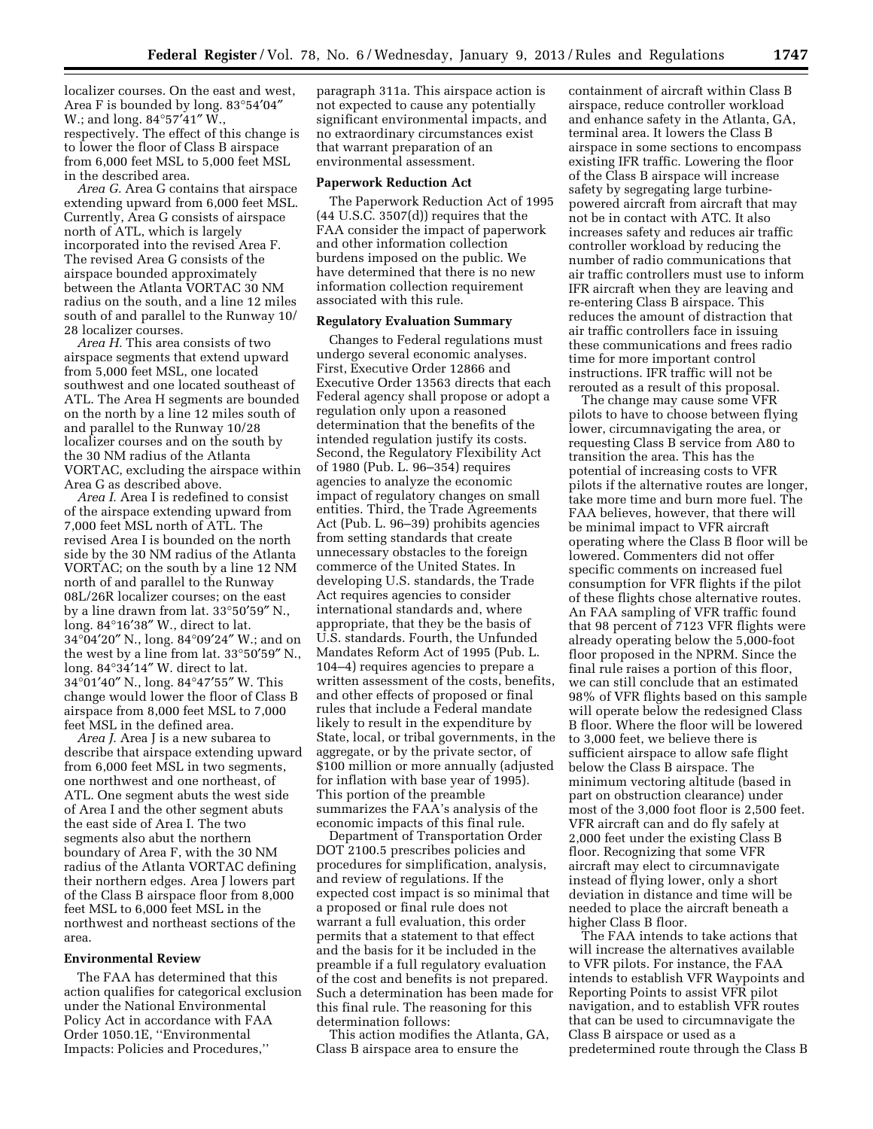localizer courses. On the east and west, Area F is bounded by long. 83°54′04″ W.; and long. 84°57′41″ W., respectively. The effect of this change is to lower the floor of Class B airspace from 6,000 feet MSL to 5,000 feet MSL in the described area.

*Area G.* Area G contains that airspace extending upward from 6,000 feet MSL. Currently, Area G consists of airspace north of ATL, which is largely incorporated into the revised Area F. The revised Area G consists of the airspace bounded approximately between the Atlanta VORTAC 30 NM radius on the south, and a line 12 miles south of and parallel to the Runway 10/ 28 localizer courses.

*Area H.* This area consists of two airspace segments that extend upward from 5,000 feet MSL, one located southwest and one located southeast of ATL. The Area H segments are bounded on the north by a line 12 miles south of and parallel to the Runway 10/28 localizer courses and on the south by the 30 NM radius of the Atlanta VORTAC, excluding the airspace within Area G as described above.

*Area I.* Area I is redefined to consist of the airspace extending upward from 7,000 feet MSL north of ATL. The revised Area I is bounded on the north side by the 30 NM radius of the Atlanta VORTAC; on the south by a line 12 NM north of and parallel to the Runway 08L/26R localizer courses; on the east by a line drawn from lat. 33°50′59″ N., long. 84°16′38″ W., direct to lat. 34°04′20″ N., long. 84°09′24″ W.; and on the west by a line from lat. 33°50′59″ N., long. 84°34′14″ W. direct to lat. 34°01′40″ N., long. 84°47′55″ W. This change would lower the floor of Class B airspace from 8,000 feet MSL to 7,000 feet MSL in the defined area.

*Area J.* Area J is a new subarea to describe that airspace extending upward from 6,000 feet MSL in two segments, one northwest and one northeast, of ATL. One segment abuts the west side of Area I and the other segment abuts the east side of Area I. The two segments also abut the northern boundary of Area F, with the 30 NM radius of the Atlanta VORTAC defining their northern edges. Area J lowers part of the Class B airspace floor from 8,000 feet MSL to 6,000 feet MSL in the northwest and northeast sections of the area.

## **Environmental Review**

The FAA has determined that this action qualifies for categorical exclusion under the National Environmental Policy Act in accordance with FAA Order 1050.1E, ''Environmental Impacts: Policies and Procedures,''

paragraph 311a. This airspace action is not expected to cause any potentially significant environmental impacts, and no extraordinary circumstances exist that warrant preparation of an environmental assessment.

#### **Paperwork Reduction Act**

The Paperwork Reduction Act of 1995 (44 U.S.C. 3507(d)) requires that the FAA consider the impact of paperwork and other information collection burdens imposed on the public. We have determined that there is no new information collection requirement associated with this rule.

#### **Regulatory Evaluation Summary**

Changes to Federal regulations must undergo several economic analyses. First, Executive Order 12866 and Executive Order 13563 directs that each Federal agency shall propose or adopt a regulation only upon a reasoned determination that the benefits of the intended regulation justify its costs. Second, the Regulatory Flexibility Act of 1980 (Pub. L. 96–354) requires agencies to analyze the economic impact of regulatory changes on small entities. Third, the Trade Agreements Act (Pub. L. 96–39) prohibits agencies from setting standards that create unnecessary obstacles to the foreign commerce of the United States. In developing U.S. standards, the Trade Act requires agencies to consider international standards and, where appropriate, that they be the basis of U.S. standards. Fourth, the Unfunded Mandates Reform Act of 1995 (Pub. L. 104–4) requires agencies to prepare a written assessment of the costs, benefits, and other effects of proposed or final rules that include a Federal mandate likely to result in the expenditure by State, local, or tribal governments, in the aggregate, or by the private sector, of \$100 million or more annually (adjusted for inflation with base year of 1995). This portion of the preamble summarizes the FAA's analysis of the economic impacts of this final rule.

Department of Transportation Order DOT 2100.5 prescribes policies and procedures for simplification, analysis, and review of regulations. If the expected cost impact is so minimal that a proposed or final rule does not warrant a full evaluation, this order permits that a statement to that effect and the basis for it be included in the preamble if a full regulatory evaluation of the cost and benefits is not prepared. Such a determination has been made for this final rule. The reasoning for this determination follows:

This action modifies the Atlanta, GA, Class B airspace area to ensure the

containment of aircraft within Class B airspace, reduce controller workload and enhance safety in the Atlanta, GA, terminal area. It lowers the Class B airspace in some sections to encompass existing IFR traffic. Lowering the floor of the Class B airspace will increase safety by segregating large turbinepowered aircraft from aircraft that may not be in contact with ATC. It also increases safety and reduces air traffic controller workload by reducing the number of radio communications that air traffic controllers must use to inform IFR aircraft when they are leaving and re-entering Class B airspace. This reduces the amount of distraction that air traffic controllers face in issuing these communications and frees radio time for more important control instructions. IFR traffic will not be rerouted as a result of this proposal.

The change may cause some VFR pilots to have to choose between flying lower, circumnavigating the area, or requesting Class B service from A80 to transition the area. This has the potential of increasing costs to VFR pilots if the alternative routes are longer, take more time and burn more fuel. The FAA believes, however, that there will be minimal impact to VFR aircraft operating where the Class B floor will be lowered. Commenters did not offer specific comments on increased fuel consumption for VFR flights if the pilot of these flights chose alternative routes. An FAA sampling of VFR traffic found that 98 percent of 7123 VFR flights were already operating below the 5,000-foot floor proposed in the NPRM. Since the final rule raises a portion of this floor, we can still conclude that an estimated 98% of VFR flights based on this sample will operate below the redesigned Class B floor. Where the floor will be lowered to 3,000 feet, we believe there is sufficient airspace to allow safe flight below the Class B airspace. The minimum vectoring altitude (based in part on obstruction clearance) under most of the 3,000 foot floor is 2,500 feet. VFR aircraft can and do fly safely at 2,000 feet under the existing Class B floor. Recognizing that some VFR aircraft may elect to circumnavigate instead of flying lower, only a short deviation in distance and time will be needed to place the aircraft beneath a higher Class B floor.

The FAA intends to take actions that will increase the alternatives available to VFR pilots. For instance, the FAA intends to establish VFR Waypoints and Reporting Points to assist VFR pilot navigation, and to establish VFR routes that can be used to circumnavigate the Class B airspace or used as a predetermined route through the Class B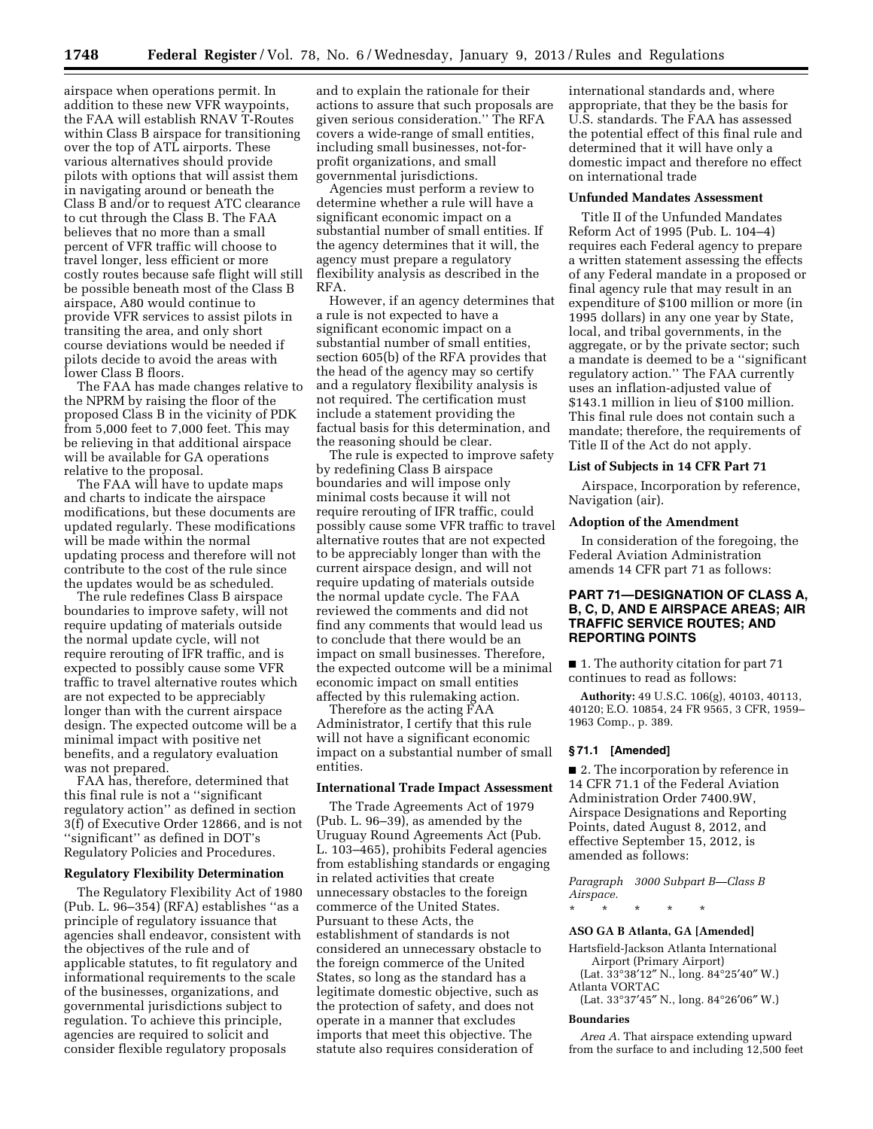airspace when operations permit. In addition to these new VFR waypoints, the FAA will establish RNAV T-Routes within Class B airspace for transitioning over the top of ATL airports. These various alternatives should provide pilots with options that will assist them in navigating around or beneath the Class B and/or to request ATC clearance to cut through the Class B. The FAA believes that no more than a small percent of VFR traffic will choose to travel longer, less efficient or more costly routes because safe flight will still be possible beneath most of the Class B airspace, A80 would continue to provide VFR services to assist pilots in transiting the area, and only short course deviations would be needed if pilots decide to avoid the areas with lower Class B floors.

The FAA has made changes relative to the NPRM by raising the floor of the proposed Class B in the vicinity of PDK from 5,000 feet to 7,000 feet. This may be relieving in that additional airspace will be available for GA operations relative to the proposal.

The FAA will have to update maps and charts to indicate the airspace modifications, but these documents are updated regularly. These modifications will be made within the normal updating process and therefore will not contribute to the cost of the rule since the updates would be as scheduled.

The rule redefines Class B airspace boundaries to improve safety, will not require updating of materials outside the normal update cycle, will not require rerouting of IFR traffic, and is expected to possibly cause some VFR traffic to travel alternative routes which are not expected to be appreciably longer than with the current airspace design. The expected outcome will be a minimal impact with positive net benefits, and a regulatory evaluation was not prepared.

FAA has, therefore, determined that this final rule is not a ''significant regulatory action'' as defined in section 3(f) of Executive Order 12866, and is not ''significant'' as defined in DOT's Regulatory Policies and Procedures.

#### **Regulatory Flexibility Determination**

The Regulatory Flexibility Act of 1980 (Pub. L. 96–354) (RFA) establishes ''as a principle of regulatory issuance that agencies shall endeavor, consistent with the objectives of the rule and of applicable statutes, to fit regulatory and informational requirements to the scale of the businesses, organizations, and governmental jurisdictions subject to regulation. To achieve this principle, agencies are required to solicit and consider flexible regulatory proposals

and to explain the rationale for their actions to assure that such proposals are given serious consideration.'' The RFA covers a wide-range of small entities, including small businesses, not-forprofit organizations, and small governmental jurisdictions.

Agencies must perform a review to determine whether a rule will have a significant economic impact on a substantial number of small entities. If the agency determines that it will, the agency must prepare a regulatory flexibility analysis as described in the RFA.

However, if an agency determines that a rule is not expected to have a significant economic impact on a substantial number of small entities, section 605(b) of the RFA provides that the head of the agency may so certify and a regulatory flexibility analysis is not required. The certification must include a statement providing the factual basis for this determination, and the reasoning should be clear.

The rule is expected to improve safety by redefining Class B airspace boundaries and will impose only minimal costs because it will not require rerouting of IFR traffic, could possibly cause some VFR traffic to travel alternative routes that are not expected to be appreciably longer than with the current airspace design, and will not require updating of materials outside the normal update cycle. The FAA reviewed the comments and did not find any comments that would lead us to conclude that there would be an impact on small businesses. Therefore, the expected outcome will be a minimal economic impact on small entities affected by this rulemaking action.

Therefore as the acting FAA Administrator, I certify that this rule will not have a significant economic impact on a substantial number of small entities.

#### **International Trade Impact Assessment**

The Trade Agreements Act of 1979 (Pub. L. 96–39), as amended by the Uruguay Round Agreements Act (Pub. L. 103–465), prohibits Federal agencies from establishing standards or engaging in related activities that create unnecessary obstacles to the foreign commerce of the United States. Pursuant to these Acts, the establishment of standards is not considered an unnecessary obstacle to the foreign commerce of the United States, so long as the standard has a legitimate domestic objective, such as the protection of safety, and does not operate in a manner that excludes imports that meet this objective. The statute also requires consideration of

international standards and, where appropriate, that they be the basis for U.S. standards. The FAA has assessed the potential effect of this final rule and determined that it will have only a domestic impact and therefore no effect on international trade

#### **Unfunded Mandates Assessment**

Title II of the Unfunded Mandates Reform Act of 1995 (Pub. L. 104–4) requires each Federal agency to prepare a written statement assessing the effects of any Federal mandate in a proposed or final agency rule that may result in an expenditure of \$100 million or more (in 1995 dollars) in any one year by State, local, and tribal governments, in the aggregate, or by the private sector; such a mandate is deemed to be a ''significant regulatory action.'' The FAA currently uses an inflation-adjusted value of \$143.1 million in lieu of \$100 million. This final rule does not contain such a mandate; therefore, the requirements of Title II of the Act do not apply*.* 

## **List of Subjects in 14 CFR Part 71**

Airspace, Incorporation by reference, Navigation (air).

## **Adoption of the Amendment**

In consideration of the foregoing, the Federal Aviation Administration amends 14 CFR part 71 as follows:

# **PART 71—DESIGNATION OF CLASS A, B, C, D, AND E AIRSPACE AREAS; AIR TRAFFIC SERVICE ROUTES; AND REPORTING POINTS**

■ 1. The authority citation for part 71 continues to read as follows:

**Authority:** 49 U.S.C. 106(g), 40103, 40113, 40120; E.O. 10854, 24 FR 9565, 3 CFR, 1959– 1963 Comp., p. 389.

#### **§ 71.1 [Amended]**

■ 2. The incorporation by reference in 14 CFR 71.1 of the Federal Aviation Administration Order 7400.9W, Airspace Designations and Reporting Points, dated August 8, 2012, and effective September 15, 2012, is amended as follows:

*Paragraph 3000 Subpart B—Class B Airspace.* 

\* \* \* \* \*

#### **ASO GA B Atlanta, GA [Amended]**

Hartsfield-Jackson Atlanta International Airport (Primary Airport)

(Lat. 33°38′12″ N., long. 84°25′40″ W.) Atlanta VORTAC

(Lat. 33°37′45″ N., long. 84°26′06″ W.)

#### **Boundaries**

*Area A.* That airspace extending upward from the surface to and including 12,500 feet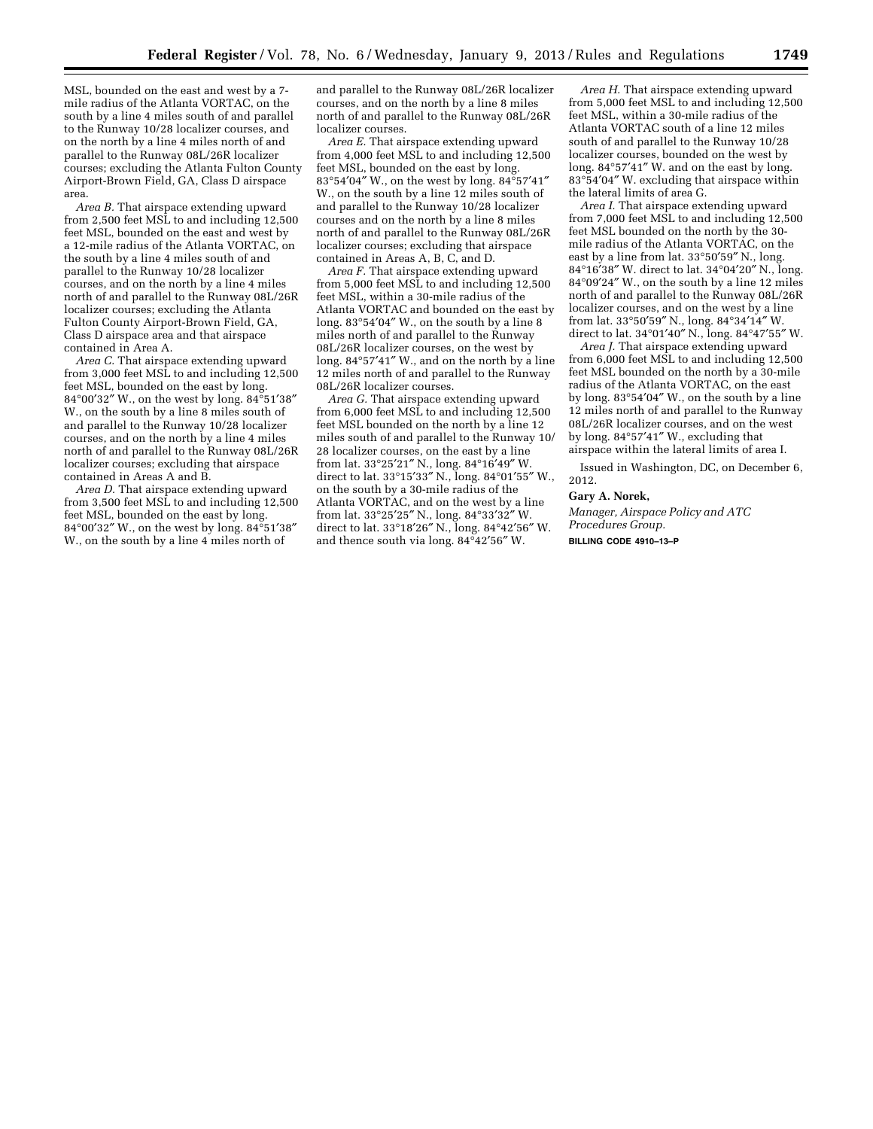MSL, bounded on the east and west by a 7 mile radius of the Atlanta VORTAC, on the south by a line 4 miles south of and parallel to the Runway 10/28 localizer courses, and on the north by a line 4 miles north of and parallel to the Runway 08L/26R localizer courses; excluding the Atlanta Fulton County Airport-Brown Field, GA, Class D airspace area.

*Area B.* That airspace extending upward from 2,500 feet MSL to and including 12,500 feet MSL, bounded on the east and west by a 12-mile radius of the Atlanta VORTAC, on the south by a line 4 miles south of and parallel to the Runway 10/28 localizer courses, and on the north by a line 4 miles north of and parallel to the Runway 08L/26R localizer courses; excluding the Atlanta Fulton County Airport-Brown Field, GA, Class D airspace area and that airspace contained in Area A.

*Area C.* That airspace extending upward from 3,000 feet MSL to and including 12,500 feet MSL, bounded on the east by long. 84°00′32″ W., on the west by long. 84°51′38″ W., on the south by a line 8 miles south of and parallel to the Runway 10/28 localizer courses, and on the north by a line 4 miles north of and parallel to the Runway 08L/26R localizer courses; excluding that airspace contained in Areas A and B.

*Area D.* That airspace extending upward from 3,500 feet MSL to and including 12,500 feet MSL, bounded on the east by long. 84°00′32″ W., on the west by long. 84°51′38″ W., on the south by a line 4 miles north of

and parallel to the Runway 08L/26R localizer courses, and on the north by a line 8 miles north of and parallel to the Runway 08L/26R localizer courses.

*Area E.* That airspace extending upward from 4,000 feet MSL to and including 12,500 feet MSL, bounded on the east by long. 83°54′04″ W., on the west by long. 84°57′41″ W., on the south by a line 12 miles south of and parallel to the Runway 10/28 localizer courses and on the north by a line 8 miles north of and parallel to the Runway 08L/26R localizer courses; excluding that airspace contained in Areas A, B, C, and D.

*Area F.* That airspace extending upward from 5,000 feet MSL to and including 12,500 feet MSL, within a 30-mile radius of the Atlanta VORTAC and bounded on the east by long. 83°54′04″ W., on the south by a line 8 miles north of and parallel to the Runway 08L/26R localizer courses, on the west by long. 84°57′41″ W., and on the north by a line 12 miles north of and parallel to the Runway 08L/26R localizer courses.

*Area G.* That airspace extending upward from 6,000 feet MSL to and including 12,500 feet MSL bounded on the north by a line 12 miles south of and parallel to the Runway 10/ 28 localizer courses, on the east by a line from lat. 33°25′21″ N., long. 84°16′49″ W. direct to lat. 33°15′33″ N., long. 84°01′55″ W., on the south by a 30-mile radius of the Atlanta VORTAC, and on the west by a line from lat. 33°25′25″ N., long. 84°33′32″ W. direct to lat. 33°18′26″ N., long. 84°42′56″ W. and thence south via long. 84°42′56″ W.

*Area H.* That airspace extending upward from 5,000 feet MSL to and including 12,500 feet MSL, within a 30-mile radius of the Atlanta VORTAC south of a line 12 miles south of and parallel to the Runway 10/28 localizer courses, bounded on the west by long. 84°57′41″ W. and on the east by long. 83°54′04″ W. excluding that airspace within the lateral limits of area G.

*Area I.* That airspace extending upward from 7,000 feet MSL to and including 12,500 feet MSL bounded on the north by the 30 mile radius of the Atlanta VORTAC, on the east by a line from lat. 33°50′59″ N., long. 84°16′38″ W. direct to lat. 34°04′20″ N., long. 84°09′24″ W., on the south by a line 12 miles north of and parallel to the Runway 08L/26R localizer courses, and on the west by a line from lat. 33°50′59″ N., long. 84°34′14″ W. direct to lat. 34°01′40″ N., long. 84°47′55″ W.

*Area J.* That airspace extending upward from 6,000 feet MSL to and including 12,500 feet MSL bounded on the north by a 30-mile radius of the Atlanta VORTAC, on the east by long. 83°54′04″ W., on the south by a line 12 miles north of and parallel to the Runway 08L/26R localizer courses, and on the west by long. 84°57′41″ W., excluding that airspace within the lateral limits of area I.

Issued in Washington, DC, on December 6, 2012.

#### **Gary A. Norek,**

*Manager, Airspace Policy and ATC Procedures Group.*  **BILLING CODE 4910–13–P**